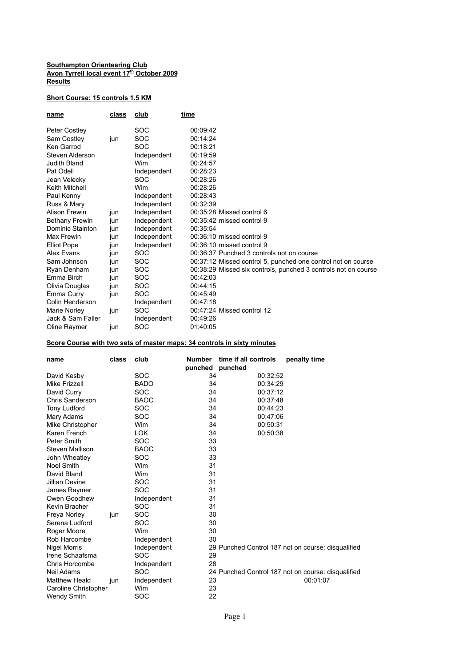## **Southampton Orienteering Club Avon Tyrrell local event 17th October 2009 Results**

## **Short Course: 15 controls 1.5 KM**

| name                  | class | club        | time                                                           |
|-----------------------|-------|-------------|----------------------------------------------------------------|
| <b>Peter Costley</b>  |       | SOC         | 00:09:42                                                       |
| Sam Costley           | jun   | SOC         | 00:14:24                                                       |
| Ken Garrod            |       | SOC         | 00:18:21                                                       |
| Steven Alderson       |       | Independent | 00:19:59                                                       |
| Judith Bland          |       | Wim         | 00:24:57                                                       |
| Pat Odell             |       | Independent | 00:28:23                                                       |
| Jean Velecky          |       | SOC         | 00:28:26                                                       |
| Keith Mitchell        |       | Wim         | 00:28:26                                                       |
| Paul Kenny            |       | Independent | 00:28:43                                                       |
| Russ & Mary           |       | Independent | 00:32:39                                                       |
| Alison Frewin         | jun   | Independent | 00:35:28 Missed control 6                                      |
| <b>Bethany Frewin</b> | jun   | Independent | 00:35:42 missed control 9                                      |
| Dominic Stainton      | jun   | Independent | 00:35:54                                                       |
| Max Frewin            | jun   | Independent | $00:36:10$ missed control 9                                    |
| <b>Elliot Pope</b>    | jun   | Independent | 00:36:10 missed control 9                                      |
| Alex Evans            | jun   | SOC.        | 00:36:37 Punched 3 controls not on course                      |
| Sam Johnson           | jun   | SOC         | 00:37:12 Missed control 5, punched one control not on course   |
| Ryan Denham           | jun   | SOC         | 00:38:29 Missed six controls, punched 3 controls not on course |
| Emma Birch            | jun   | SOC         | 00:42:03                                                       |
| Olivia Douglas        | jun   | SOC         | 00:44:15                                                       |
| Emma Curry            | jun   | SOC         | 00:45:49                                                       |
| Colin Henderson       |       | Independent | 00:47:18                                                       |
| Marie Norley          | jun   | SOC         | 00:47:24 Missed control 12                                     |
| Jack & Sam Faller     |       | Independent | 00:49:26                                                       |
| Oline Raymer          | iun   | SOC         | 01:40:05                                                       |

## **Score Course with two sets of master maps: 34 controls in sixty minutes**

| name                 | class | club        | Number  | time if all controls | penalty time                                       |
|----------------------|-------|-------------|---------|----------------------|----------------------------------------------------|
|                      |       |             | punched | punched              |                                                    |
| David Kesby          |       | <b>SOC</b>  | 34      | 00:32:52             |                                                    |
| Mike Frizzell        |       | <b>BADO</b> | 34      | 00:34:29             |                                                    |
| David Curry          |       | SOC         | 34      | 00:37:12             |                                                    |
| Chris Sanderson      |       | <b>BAOC</b> | 34      | 00:37:48             |                                                    |
| <b>Tony Ludford</b>  |       | <b>SOC</b>  | 34      | 00:44:23             |                                                    |
| Mary Adams           |       | SOC         | 34      | 00:47:06             |                                                    |
| Mike Christopher     |       | Wim         | 34      | 00:50:31             |                                                    |
| Karen French         |       | <b>LOK</b>  | 34      | 00:50:38             |                                                    |
| Peter Smith          |       | <b>SOC</b>  | 33      |                      |                                                    |
| Steven Mallison      |       | <b>BAOC</b> | 33      |                      |                                                    |
| John Wheatley        |       | <b>SOC</b>  | 33      |                      |                                                    |
| <b>Noel Smith</b>    |       | Wim         | 31      |                      |                                                    |
| David Bland          |       | Wim         | 31      |                      |                                                    |
| Jillian Devine       |       | <b>SOC</b>  | 31      |                      |                                                    |
| James Raymer         |       | SOC         | 31      |                      |                                                    |
| Owen Goodhew         |       | Independent | 31      |                      |                                                    |
| Kevin Bracher        |       | <b>SOC</b>  | 31      |                      |                                                    |
| Freya Norley         | jun   | SOC         | 30      |                      |                                                    |
| Serena Ludford       |       | SOC         | 30      |                      |                                                    |
| Roger Moore          |       | Wim         | 30      |                      |                                                    |
| Rob Harcombe         |       | Independent | 30      |                      |                                                    |
| <b>Nigel Morris</b>  |       | Independent |         |                      | 29 Punched Control 187 not on course: disqualified |
| Irene Schaafsma      |       | SOC         | 29      |                      |                                                    |
| Chris Horcombe       |       | Independent | 28      |                      |                                                    |
| Neil Adams           |       | <b>SOC</b>  |         |                      | 24 Punched Control 187 not on course: disqualified |
| <b>Matthew Heald</b> | jun   | Independent | 23      |                      | 00:01:07                                           |
| Caroline Christopher |       | Wim         | 23      |                      |                                                    |
| <b>Wendy Smith</b>   |       | SOC         | 22      |                      |                                                    |